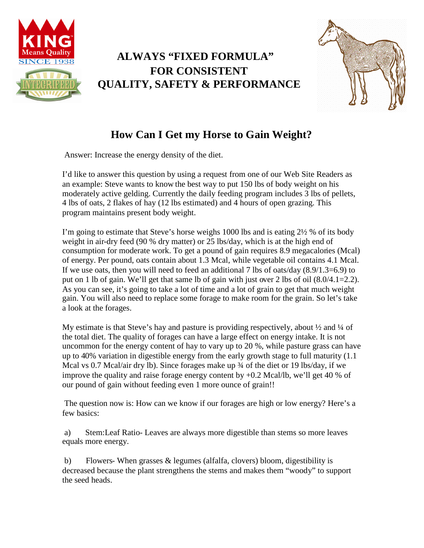

## **ALWAYS "FIXED FORMULA" FOR CONSISTENT QUALITY, SAFETY & PERFORMANCE**



## **How Can I Get my Horse to Gain Weight?**

Answer: Increase the energy density of the diet.

I'd like to answer this question by using a request from one of our Web Site Readers as an example: Steve wants to know the best way to put 150 lbs of body weight on his moderately active gelding. Currently the daily feeding program includes 3 lbs of pellets, 4 lbs of oats, 2 flakes of hay (12 lbs estimated) and 4 hours of open grazing. This program maintains present body weight.

I'm going to estimate that Steve's horse weighs 1000 lbs and is eating 2½ % of its body weight in air-dry feed (90 % dry matter) or 25 lbs/day, which is at the high end of consumption for moderate work. To get a pound of gain requires 8.9 megacalories (Mcal) of energy. Per pound, oats contain about 1.3 Mcal, while vegetable oil contains 4.1 Mcal. If we use oats, then you will need to feed an additional 7 lbs of oats/day (8.9/1.3=6.9) to put on 1 lb of gain. We'll get that same lb of gain with just over 2 lbs of oil (8.0/4.1=2.2). As you can see, it's going to take a lot of time and a lot of grain to get that much weight gain. You will also need to replace some forage to make room for the grain. So let's take a look at the forages.

My estimate is that Steve's hay and pasture is providing respectively, about  $\frac{1}{2}$  and  $\frac{1}{4}$  of the total diet. The quality of forages can have a large effect on energy intake. It is not uncommon for the energy content of hay to vary up to 20 %, while pasture grass can have up to 40% variation in digestible energy from the early growth stage to full maturity (1.1 Mcal vs 0.7 Mcal/air dry lb). Since forages make up  $\frac{3}{4}$  of the diet or 19 lbs/day, if we improve the quality and raise forage energy content by +0.2 Mcal/lb, we'll get 40 % of our pound of gain without feeding even 1 more ounce of grain!!

The question now is: How can we know if our forages are high or low energy? Here's a few basics:

a) Stem:Leaf Ratio- Leaves are always more digestible than stems so more leaves equals more energy.

b) Flowers- When grasses & legumes (alfalfa, clovers) bloom, digestibility is decreased because the plant strengthens the stems and makes them "woody" to support the seed heads.